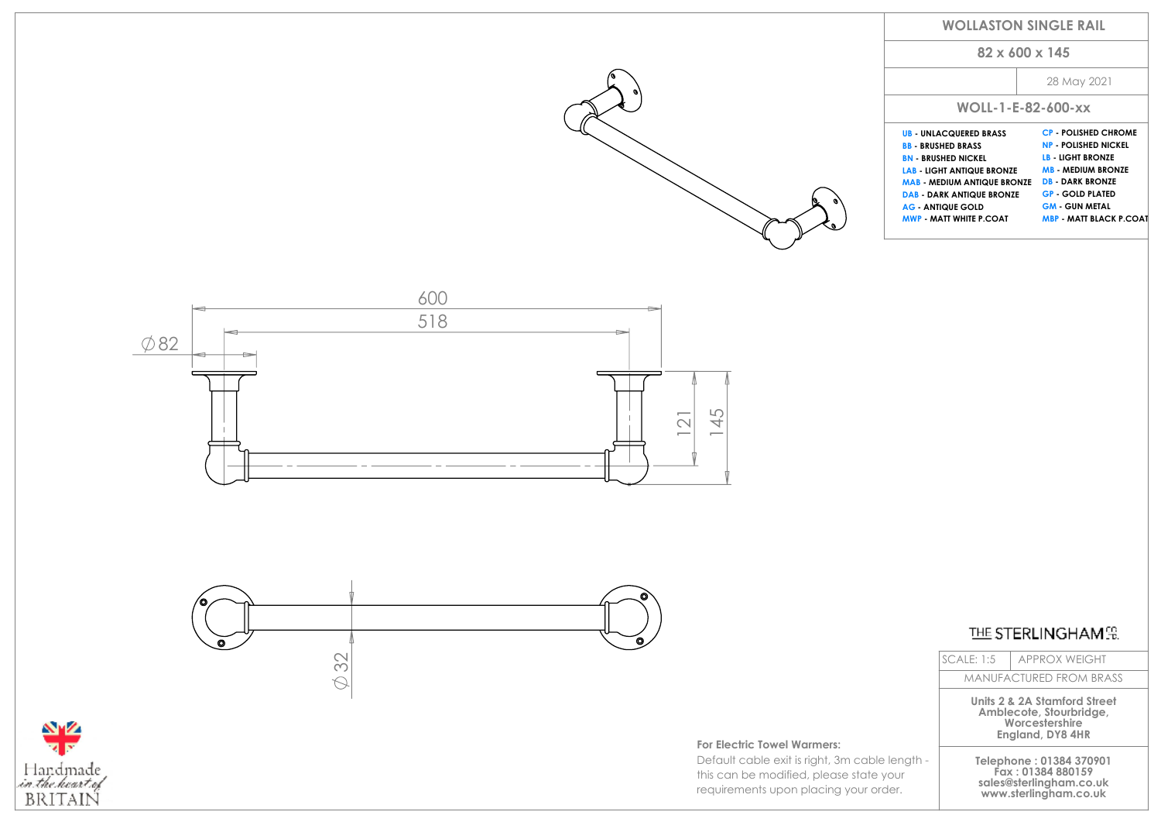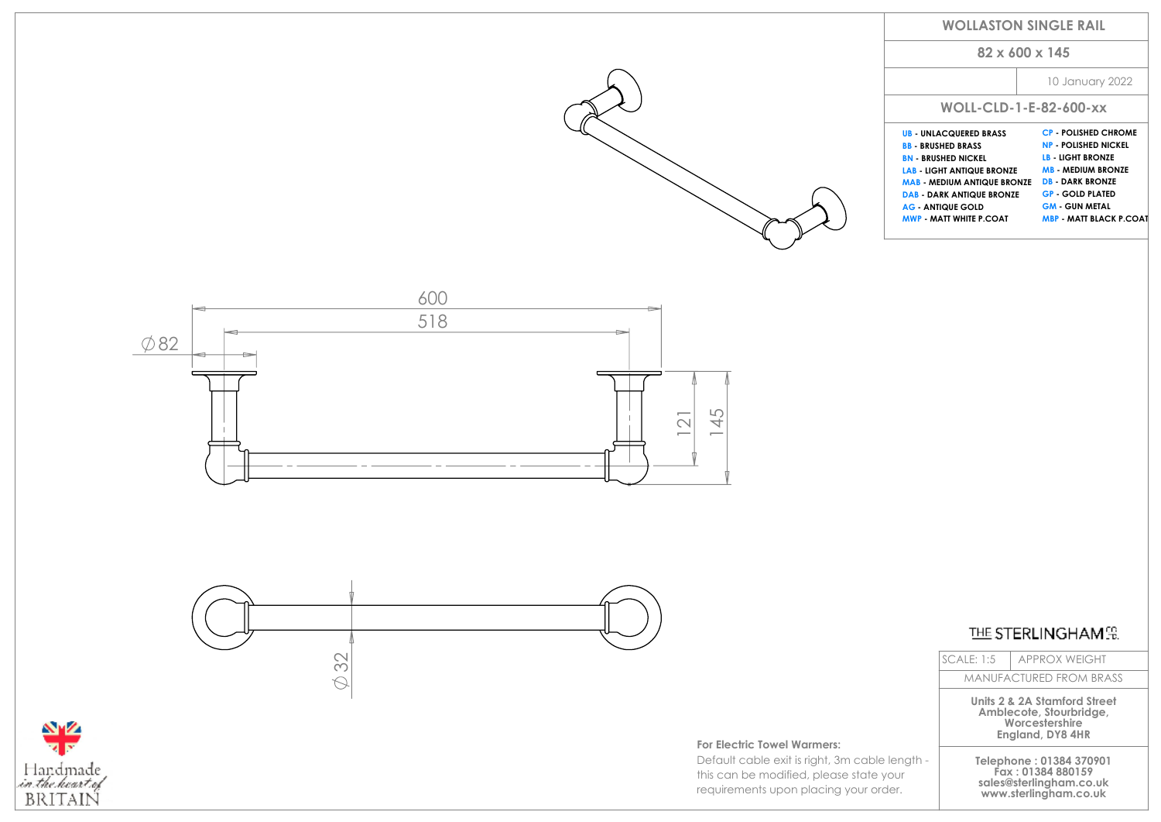